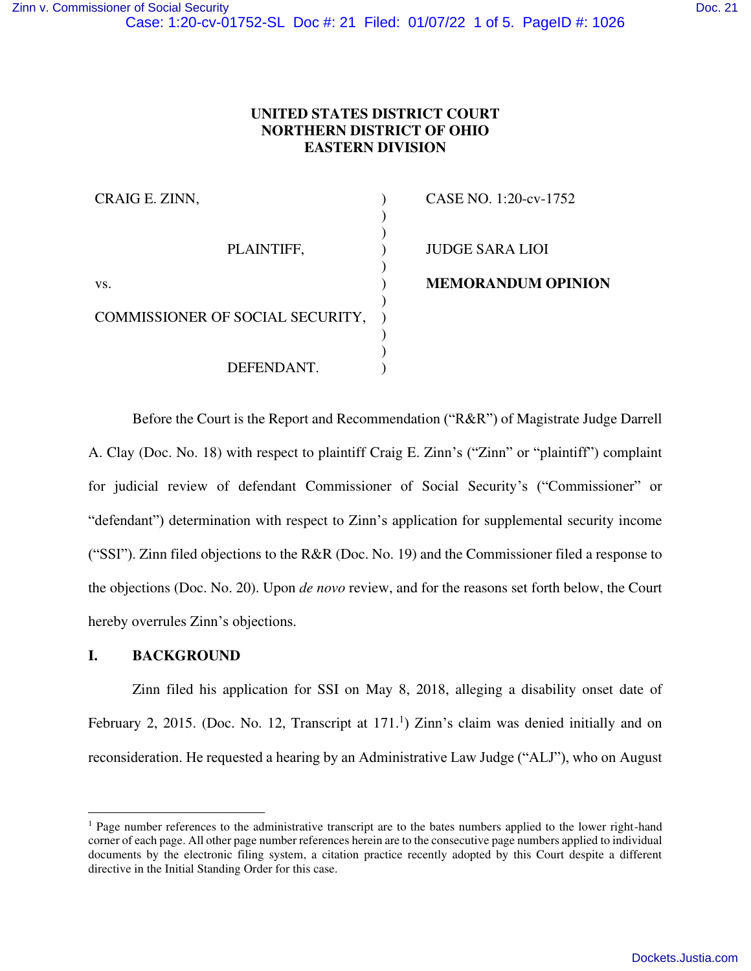# **UNITED STATES DISTRICT COURT NORTHERN DISTRICT OF OHIO EASTERN DIVISION**

| CRAIG E. ZINN,                   | CASE NO. 1:20-cv-1752     |
|----------------------------------|---------------------------|
|                                  |                           |
|                                  |                           |
| PLAINTIFF,                       | <b>JUDGE SARA LIOI</b>    |
|                                  |                           |
| VS.                              | <b>MEMORANDUM OPINION</b> |
|                                  |                           |
| COMMISSIONER OF SOCIAL SECURITY, |                           |
|                                  |                           |
|                                  |                           |
| DEFENDANT.                       |                           |

Before the Court is the Report and Recommendation ("R&R") of Magistrate Judge Darrell A. Clay (Doc. No. 18) with respect to plaintiff Craig E. Zinn's ("Zinn" or "plaintiff") complaint for judicial review of defendant Commissioner of Social Security's ("Commissioner" or "defendant") determination with respect to Zinn's application for supplemental security income ("SSI"). Zinn filed objections to the R&R (Doc. No. 19) and the Commissioner filed a response to the objections (Doc. No. 20). Upon *de novo* review, and for the reasons set forth below, the Court hereby overrules Zinn's objections.

## **I. BACKGROUND**

Zinn filed his application for SSI on May 8, 2018, alleging a disability onset date of February 2, 2015. (Doc. No. 12, Transcript at  $171<sup>1</sup>$ ) Zinn's claim was denied initially and on reconsideration. He requested a hearing by an Administrative Law Judge ("ALJ"), who on August

<sup>&</sup>lt;sup>1</sup> Page number references to the administrative transcript are to the bates numbers applied to the lower right-hand corner of each page. All other page number references herein are to the consecutive page numbers applied to individual documents by the electronic filing system, a citation practice recently adopted by this Court despite a different directive in the Initial Standing Order for this case.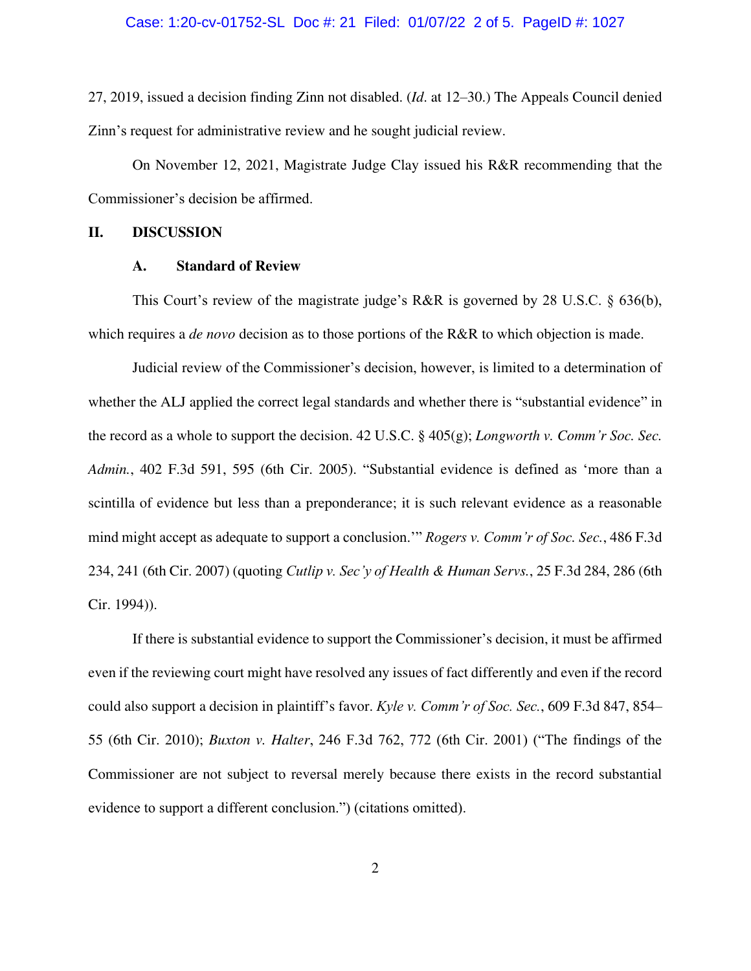#### Case: 1:20-cv-01752-SL Doc #: 21 Filed: 01/07/22 2 of 5. PageID #: 1027

27, 2019, issued a decision finding Zinn not disabled. (*Id*. at 12–30.) The Appeals Council denied Zinn's request for administrative review and he sought judicial review.

On November 12, 2021, Magistrate Judge Clay issued his R&R recommending that the Commissioner's decision be affirmed.

## **II. DISCUSSION**

#### **A. Standard of Review**

This Court's review of the magistrate judge's R&R is governed by 28 U.S.C. § 636(b), which requires a *de novo* decision as to those portions of the R&R to which objection is made.

Judicial review of the Commissioner's decision, however, is limited to a determination of whether the ALJ applied the correct legal standards and whether there is "substantial evidence" in the record as a whole to support the decision. 42 U.S.C. § 405(g); *Longworth v. Comm'r Soc. Sec. Admin.*, 402 F.3d 591, 595 (6th Cir. 2005). "Substantial evidence is defined as 'more than a scintilla of evidence but less than a preponderance; it is such relevant evidence as a reasonable mind might accept as adequate to support a conclusion.'" *Rogers v. Comm'r of Soc. Sec.*, 486 F.3d 234, 241 (6th Cir. 2007) (quoting *Cutlip v. Sec'y of Health & Human Servs.*, 25 F.3d 284, 286 (6th Cir. 1994)).

If there is substantial evidence to support the Commissioner's decision, it must be affirmed even if the reviewing court might have resolved any issues of fact differently and even if the record could also support a decision in plaintiff's favor. *Kyle v. Comm'r of Soc. Sec.*, 609 F.3d 847, 854– 55 (6th Cir. 2010); *Buxton v. Halter*, 246 F.3d 762, 772 (6th Cir. 2001) ("The findings of the Commissioner are not subject to reversal merely because there exists in the record substantial evidence to support a different conclusion.") (citations omitted).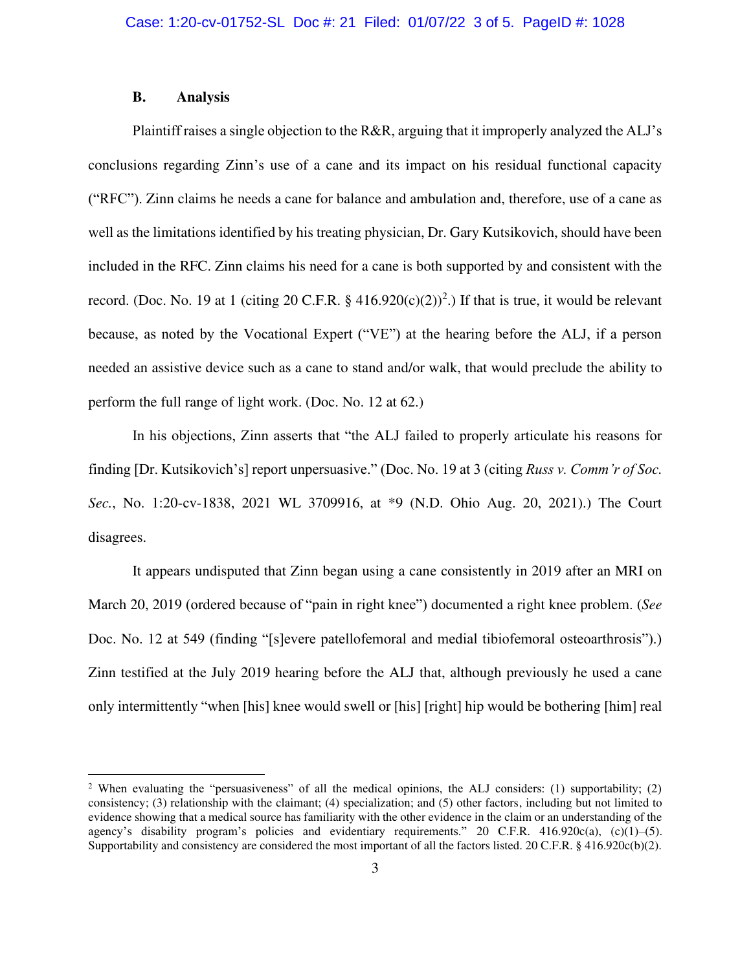### **B. Analysis**

Plaintiff raises a single objection to the R&R, arguing that it improperly analyzed the ALJ's conclusions regarding Zinn's use of a cane and its impact on his residual functional capacity ("RFC"). Zinn claims he needs a cane for balance and ambulation and, therefore, use of a cane as well as the limitations identified by his treating physician, Dr. Gary Kutsikovich, should have been included in the RFC. Zinn claims his need for a cane is both supported by and consistent with the record. (Doc. No. 19 at 1 (citing 20 C.F.R.  $\S$  416.920(c)(2))<sup>2</sup>.) If that is true, it would be relevant because, as noted by the Vocational Expert ("VE") at the hearing before the ALJ, if a person needed an assistive device such as a cane to stand and/or walk, that would preclude the ability to perform the full range of light work. (Doc. No. 12 at 62.)

In his objections, Zinn asserts that "the ALJ failed to properly articulate his reasons for finding [Dr. Kutsikovich's] report unpersuasive." (Doc. No. 19 at 3 (citing *Russ v. Comm'r of Soc. Sec.*, No. 1:20-cv-1838, 2021 WL 3709916, at \*9 (N.D. Ohio Aug. 20, 2021).) The Court disagrees.

It appears undisputed that Zinn began using a cane consistently in 2019 after an MRI on March 20, 2019 (ordered because of "pain in right knee") documented a right knee problem. (*See*  Doc. No. 12 at 549 (finding "[s]evere patellofemoral and medial tibiofemoral osteoarthrosis").) Zinn testified at the July 2019 hearing before the ALJ that, although previously he used a cane only intermittently "when [his] knee would swell or [his] [right] hip would be bothering [him] real

<sup>&</sup>lt;sup>2</sup> When evaluating the "persuasiveness" of all the medical opinions, the ALJ considers: (1) supportability; (2) consistency; (3) relationship with the claimant; (4) specialization; and (5) other factors, including but not limited to evidence showing that a medical source has familiarity with the other evidence in the claim or an understanding of the agency's disability program's policies and evidentiary requirements." 20 C.F.R. 416.920 $c(a)$ ,  $(c)(1)$ –(5). Supportability and consistency are considered the most important of all the factors listed. 20 C.F.R. § 416.920c(b)(2).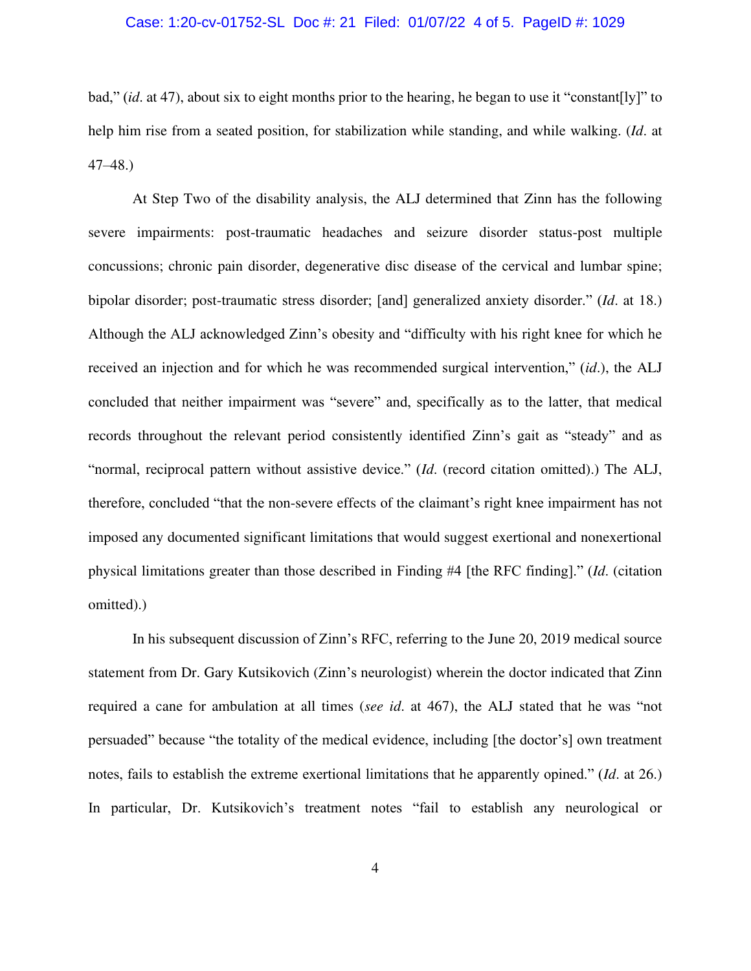### Case: 1:20-cv-01752-SL Doc #: 21 Filed: 01/07/22 4 of 5. PageID #: 1029

bad," (*id*. at 47), about six to eight months prior to the hearing, he began to use it "constant[ly]" to help him rise from a seated position, for stabilization while standing, and while walking. (*Id*. at 47–48.)

At Step Two of the disability analysis, the ALJ determined that Zinn has the following severe impairments: post-traumatic headaches and seizure disorder status-post multiple concussions; chronic pain disorder, degenerative disc disease of the cervical and lumbar spine; bipolar disorder; post-traumatic stress disorder; [and] generalized anxiety disorder." (*Id*. at 18.) Although the ALJ acknowledged Zinn's obesity and "difficulty with his right knee for which he received an injection and for which he was recommended surgical intervention," (*id*.), the ALJ concluded that neither impairment was "severe" and, specifically as to the latter, that medical records throughout the relevant period consistently identified Zinn's gait as "steady" and as "normal, reciprocal pattern without assistive device." (*Id*. (record citation omitted).) The ALJ, therefore, concluded "that the non-severe effects of the claimant's right knee impairment has not imposed any documented significant limitations that would suggest exertional and nonexertional physical limitations greater than those described in Finding #4 [the RFC finding]." (*Id*. (citation omitted).)

In his subsequent discussion of Zinn's RFC, referring to the June 20, 2019 medical source statement from Dr. Gary Kutsikovich (Zinn's neurologist) wherein the doctor indicated that Zinn required a cane for ambulation at all times (*see id*. at 467), the ALJ stated that he was "not persuaded" because "the totality of the medical evidence, including [the doctor's] own treatment notes, fails to establish the extreme exertional limitations that he apparently opined." (*Id*. at 26.) In particular, Dr. Kutsikovich's treatment notes "fail to establish any neurological or